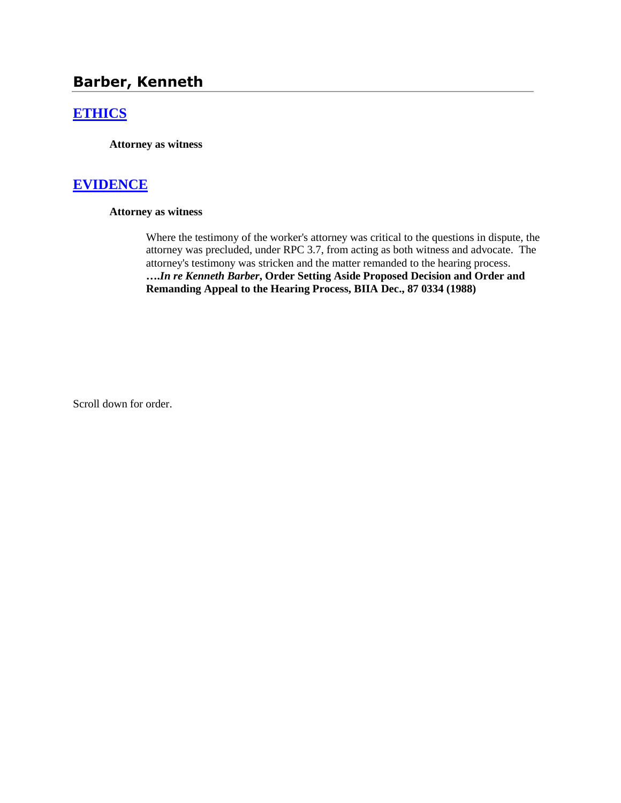# **Barber, Kenneth**

## **[ETHICS](http://www.biia.wa.gov/SDSubjectIndex.html#ETHICS)**

**Attorney as witness**

### **[EVIDENCE](http://www.biia.wa.gov/SDSubjectIndex.html#EVIDENCE)**

#### **Attorney as witness**

Where the testimony of the worker's attorney was critical to the questions in dispute, the attorney was precluded, under RPC 3.7, from acting as both witness and advocate. The attorney's testimony was stricken and the matter remanded to the hearing process. **….***In re Kenneth Barber***, Order Setting Aside Proposed Decision and Order and Remanding Appeal to the Hearing Process, BIIA Dec., 87 0334 (1988)**

Scroll down for order.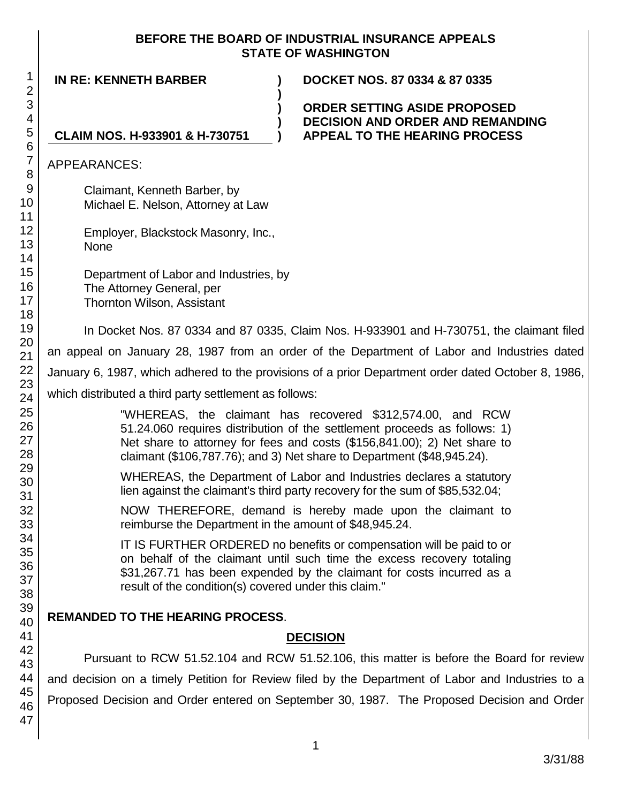### **BEFORE THE BOARD OF INDUSTRIAL INSURANCE APPEALS STATE OF WASHINGTON**

**IN RE: KENNETH BARBER ) DOCKET NOS. 87 0334 & 87 0335 ) CLAIM NOS. H-933901 & H-730751 ) )** APPEARANCES: Claimant, Kenneth Barber, by Michael E. Nelson, Attorney at Law Employer, Blackstock Masonry, Inc., None Department of Labor and Industries, by The Attorney General, per Thornton Wilson, Assistant In Docket Nos. 87 0334 and 87 0335, Claim Nos. H-933901 and H-730751, the claimant filed an appeal on January 28, 1987 from an order of the Department of Labor and Industries dated January 6, 1987, which adhered to the provisions of a prior Department order dated October 8, 1986, which distributed a third party settlement as follows: "WHEREAS, the claimant has recovered \$312,574.00, and RCW 51.24.060 requires distribution of the settlement proceeds as follows: 1) Net share to attorney for fees and costs (\$156,841.00); 2) Net share to claimant (\$106,787.76); and 3) Net share to Department (\$48,945.24). WHEREAS, the Department of Labor and Industries declares a statutory lien against the claimant's third party recovery for the sum of \$85,532.04; NOW THEREFORE, demand is hereby made upon the claimant to reimburse the Department in the amount of \$48,945.24. IT IS FURTHER ORDERED no benefits or compensation will be paid to or on behalf of the claimant until such time the excess recovery totaling \$31,267.71 has been expended by the claimant for costs incurred as a result of the condition(s) covered under this claim." **REMANDED TO THE HEARING PROCESS**. **DECISION**

Pursuant to RCW 51.52.104 and RCW 51.52.106, this matter is before the Board for review and decision on a timely Petition for Review filed by the Department of Labor and Industries to a Proposed Decision and Order entered on September 30, 1987. The Proposed Decision and Order

**) ORDER SETTING ASIDE PROPOSED DECISION AND ORDER AND REMANDING APPEAL TO THE HEARING PROCESS**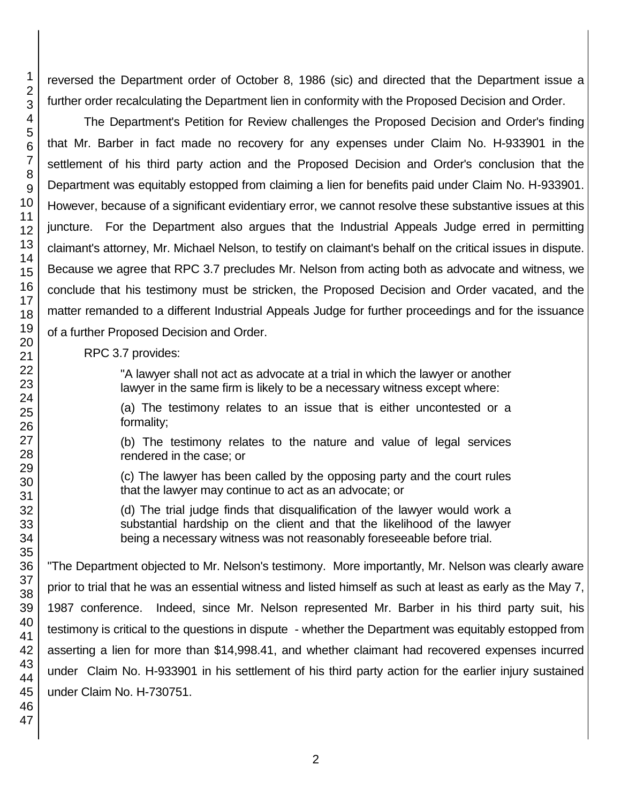reversed the Department order of October 8, 1986 (sic) and directed that the Department issue a further order recalculating the Department lien in conformity with the Proposed Decision and Order.

The Department's Petition for Review challenges the Proposed Decision and Order's finding that Mr. Barber in fact made no recovery for any expenses under Claim No. H-933901 in the settlement of his third party action and the Proposed Decision and Order's conclusion that the Department was equitably estopped from claiming a lien for benefits paid under Claim No. H-933901. However, because of a significant evidentiary error, we cannot resolve these substantive issues at this juncture. For the Department also argues that the Industrial Appeals Judge erred in permitting claimant's attorney, Mr. Michael Nelson, to testify on claimant's behalf on the critical issues in dispute. Because we agree that RPC 3.7 precludes Mr. Nelson from acting both as advocate and witness, we conclude that his testimony must be stricken, the Proposed Decision and Order vacated, and the matter remanded to a different Industrial Appeals Judge for further proceedings and for the issuance of a further Proposed Decision and Order.

RPC 3.7 provides:

"A lawyer shall not act as advocate at a trial in which the lawyer or another lawyer in the same firm is likely to be a necessary witness except where:

(a) The testimony relates to an issue that is either uncontested or a formality;

(b) The testimony relates to the nature and value of legal services rendered in the case; or

(c) The lawyer has been called by the opposing party and the court rules that the lawyer may continue to act as an advocate; or

(d) The trial judge finds that disqualification of the lawyer would work a substantial hardship on the client and that the likelihood of the lawyer being a necessary witness was not reasonably foreseeable before trial.

"The Department objected to Mr. Nelson's testimony. More importantly, Mr. Nelson was clearly aware prior to trial that he was an essential witness and listed himself as such at least as early as the May 7, 1987 conference. Indeed, since Mr. Nelson represented Mr. Barber in his third party suit, his testimony is critical to the questions in dispute - whether the Department was equitably estopped from asserting a lien for more than \$14,998.41, and whether claimant had recovered expenses incurred under Claim No. H-933901 in his settlement of his third party action for the earlier injury sustained under Claim No. H-730751.